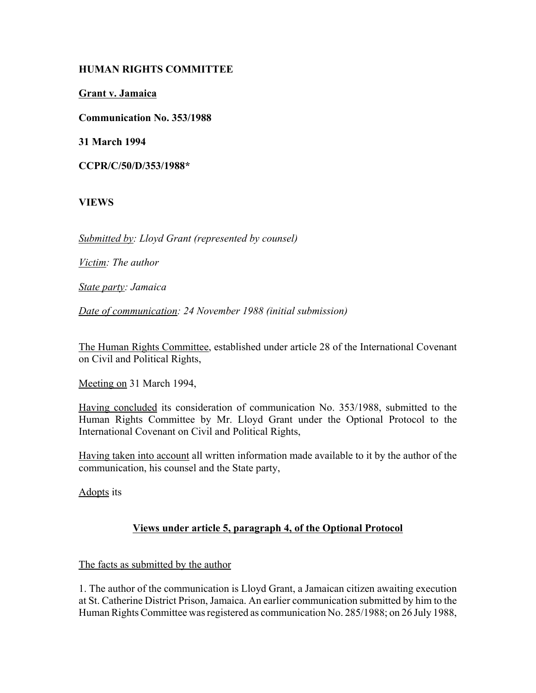## **HUMAN RIGHTS COMMITTEE**

**Grant v. Jamaica**

**Communication No. 353/1988**

**31 March 1994**

**CCPR/C/50/D/353/1988\***

## **VIEWS**

*Submitted by: Lloyd Grant (represented by counsel)*

*Victim: The author*

*State party: Jamaica*

*Date of communication: 24 November 1988 (initial submission)*

The Human Rights Committee, established under article 28 of the International Covenant on Civil and Political Rights,

Meeting on 31 March 1994,

Having concluded its consideration of communication No. 353/1988, submitted to the Human Rights Committee by Mr. Lloyd Grant under the Optional Protocol to the International Covenant on Civil and Political Rights,

Having taken into account all written information made available to it by the author of the communication, his counsel and the State party,

Adopts its

## **Views under article 5, paragraph 4, of the Optional Protocol**

## The facts as submitted by the author

1. The author of the communication is Lloyd Grant, a Jamaican citizen awaiting execution at St. Catherine District Prison, Jamaica. An earlier communication submitted by him to the Human Rights Committee was registered as communication No. 285/1988; on 26 July 1988,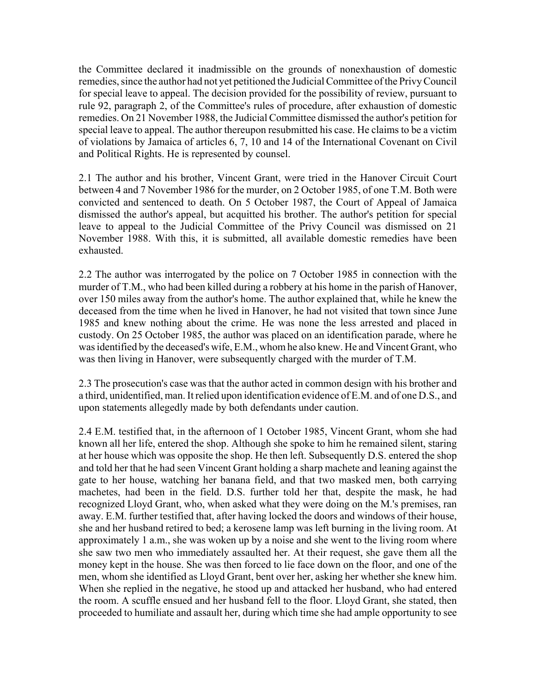the Committee declared it inadmissible on the grounds of nonexhaustion of domestic remedies, since the author had not yet petitioned the Judicial Committee of the Privy Council for special leave to appeal. The decision provided for the possibility of review, pursuant to rule 92, paragraph 2, of the Committee's rules of procedure, after exhaustion of domestic remedies. On 21 November 1988, the Judicial Committee dismissed the author's petition for special leave to appeal. The author thereupon resubmitted his case. He claims to be a victim of violations by Jamaica of articles 6, 7, 10 and 14 of the International Covenant on Civil and Political Rights. He is represented by counsel.

2.1 The author and his brother, Vincent Grant, were tried in the Hanover Circuit Court between 4 and 7 November 1986 for the murder, on 2 October 1985, of one T.M. Both were convicted and sentenced to death. On 5 October 1987, the Court of Appeal of Jamaica dismissed the author's appeal, but acquitted his brother. The author's petition for special leave to appeal to the Judicial Committee of the Privy Council was dismissed on 21 November 1988. With this, it is submitted, all available domestic remedies have been exhausted.

2.2 The author was interrogated by the police on 7 October 1985 in connection with the murder of T.M., who had been killed during a robbery at his home in the parish of Hanover, over 150 miles away from the author's home. The author explained that, while he knew the deceased from the time when he lived in Hanover, he had not visited that town since June 1985 and knew nothing about the crime. He was none the less arrested and placed in custody. On 25 October 1985, the author was placed on an identification parade, where he was identified by the deceased's wife, E.M., whom he also knew. He and Vincent Grant, who was then living in Hanover, were subsequently charged with the murder of T.M.

2.3 The prosecution's case was that the author acted in common design with his brother and a third, unidentified, man. It relied upon identification evidence of E.M. and of one D.S., and upon statements allegedly made by both defendants under caution.

2.4 E.M. testified that, in the afternoon of 1 October 1985, Vincent Grant, whom she had known all her life, entered the shop. Although she spoke to him he remained silent, staring at her house which was opposite the shop. He then left. Subsequently D.S. entered the shop and told her that he had seen Vincent Grant holding a sharp machete and leaning against the gate to her house, watching her banana field, and that two masked men, both carrying machetes, had been in the field. D.S. further told her that, despite the mask, he had recognized Lloyd Grant, who, when asked what they were doing on the M.'s premises, ran away. E.M. further testified that, after having locked the doors and windows of their house, she and her husband retired to bed; a kerosene lamp was left burning in the living room. At approximately 1 a.m., she was woken up by a noise and she went to the living room where she saw two men who immediately assaulted her. At their request, she gave them all the money kept in the house. She was then forced to lie face down on the floor, and one of the men, whom she identified as Lloyd Grant, bent over her, asking her whether she knew him. When she replied in the negative, he stood up and attacked her husband, who had entered the room. A scuffle ensued and her husband fell to the floor. Lloyd Grant, she stated, then proceeded to humiliate and assault her, during which time she had ample opportunity to see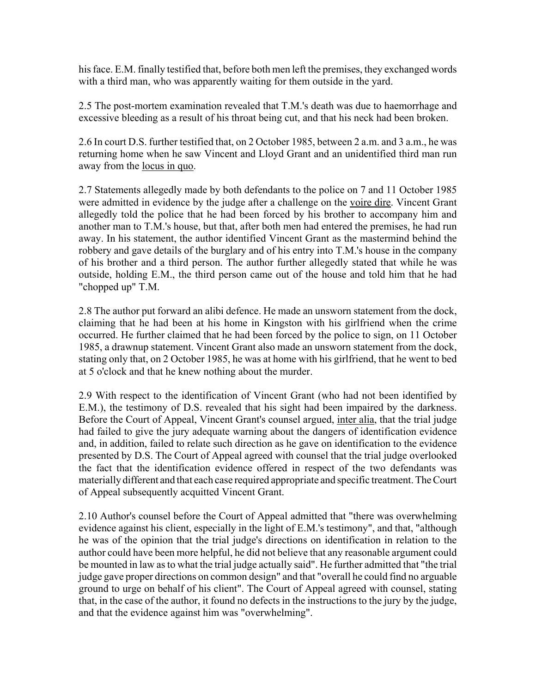his face. E.M. finally testified that, before both men left the premises, they exchanged words with a third man, who was apparently waiting for them outside in the yard.

2.5 The post-mortem examination revealed that T.M.'s death was due to haemorrhage and excessive bleeding as a result of his throat being cut, and that his neck had been broken.

2.6 In court D.S. further testified that, on 2 October 1985, between 2 a.m. and 3 a.m., he was returning home when he saw Vincent and Lloyd Grant and an unidentified third man run away from the locus in quo.

2.7 Statements allegedly made by both defendants to the police on 7 and 11 October 1985 were admitted in evidence by the judge after a challenge on the voire dire. Vincent Grant allegedly told the police that he had been forced by his brother to accompany him and another man to T.M.'s house, but that, after both men had entered the premises, he had run away. In his statement, the author identified Vincent Grant as the mastermind behind the robbery and gave details of the burglary and of his entry into T.M.'s house in the company of his brother and a third person. The author further allegedly stated that while he was outside, holding E.M., the third person came out of the house and told him that he had "chopped up" T.M.

2.8 The author put forward an alibi defence. He made an unsworn statement from the dock, claiming that he had been at his home in Kingston with his girlfriend when the crime occurred. He further claimed that he had been forced by the police to sign, on 11 October 1985, a drawnup statement. Vincent Grant also made an unsworn statement from the dock, stating only that, on 2 October 1985, he was at home with his girlfriend, that he went to bed at 5 o'clock and that he knew nothing about the murder.

2.9 With respect to the identification of Vincent Grant (who had not been identified by E.M.), the testimony of D.S. revealed that his sight had been impaired by the darkness. Before the Court of Appeal, Vincent Grant's counsel argued, inter alia, that the trial judge had failed to give the jury adequate warning about the dangers of identification evidence and, in addition, failed to relate such direction as he gave on identification to the evidence presented by D.S. The Court of Appeal agreed with counsel that the trial judge overlooked the fact that the identification evidence offered in respect of the two defendants was materially different and that each case required appropriate and specific treatment. The Court of Appeal subsequently acquitted Vincent Grant.

2.10 Author's counsel before the Court of Appeal admitted that "there was overwhelming evidence against his client, especially in the light of E.M.'s testimony", and that, "although he was of the opinion that the trial judge's directions on identification in relation to the author could have been more helpful, he did not believe that any reasonable argument could be mounted in law as to what the trial judge actually said". He further admitted that "the trial judge gave proper directions on common design" and that "overall he could find no arguable ground to urge on behalf of his client". The Court of Appeal agreed with counsel, stating that, in the case of the author, it found no defects in the instructions to the jury by the judge, and that the evidence against him was "overwhelming".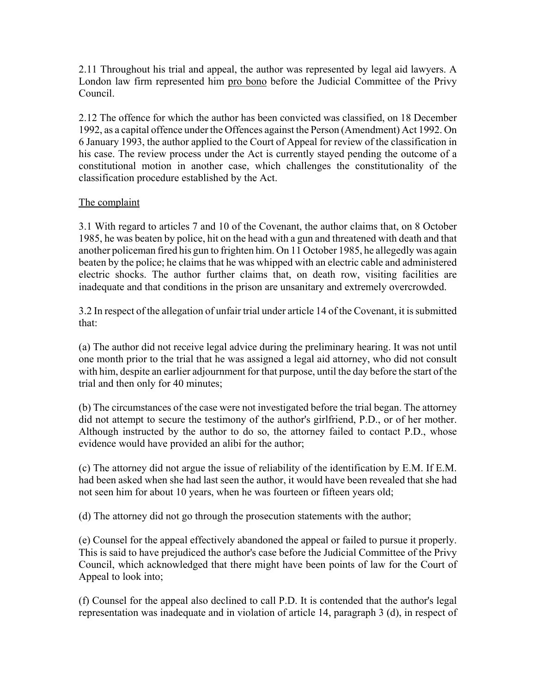2.11 Throughout his trial and appeal, the author was represented by legal aid lawyers. A London law firm represented him pro bono before the Judicial Committee of the Privy Council.

2.12 The offence for which the author has been convicted was classified, on 18 December 1992, as a capital offence under the Offences against the Person (Amendment) Act 1992. On 6 January 1993, the author applied to the Court of Appeal for review of the classification in his case. The review process under the Act is currently stayed pending the outcome of a constitutional motion in another case, which challenges the constitutionality of the classification procedure established by the Act.

## The complaint

3.1 With regard to articles 7 and 10 of the Covenant, the author claims that, on 8 October 1985, he was beaten by police, hit on the head with a gun and threatened with death and that another policeman fired his gun to frighten him. On 11 October 1985, he allegedly was again beaten by the police; he claims that he was whipped with an electric cable and administered electric shocks. The author further claims that, on death row, visiting facilities are inadequate and that conditions in the prison are unsanitary and extremely overcrowded.

3.2 In respect of the allegation of unfair trial under article 14 of the Covenant, it is submitted that:

(a) The author did not receive legal advice during the preliminary hearing. It was not until one month prior to the trial that he was assigned a legal aid attorney, who did not consult with him, despite an earlier adjournment for that purpose, until the day before the start of the trial and then only for 40 minutes;

(b) The circumstances of the case were not investigated before the trial began. The attorney did not attempt to secure the testimony of the author's girlfriend, P.D., or of her mother. Although instructed by the author to do so, the attorney failed to contact P.D., whose evidence would have provided an alibi for the author;

(c) The attorney did not argue the issue of reliability of the identification by E.M. If E.M. had been asked when she had last seen the author, it would have been revealed that she had not seen him for about 10 years, when he was fourteen or fifteen years old;

(d) The attorney did not go through the prosecution statements with the author;

(e) Counsel for the appeal effectively abandoned the appeal or failed to pursue it properly. This is said to have prejudiced the author's case before the Judicial Committee of the Privy Council, which acknowledged that there might have been points of law for the Court of Appeal to look into;

(f) Counsel for the appeal also declined to call P.D. It is contended that the author's legal representation was inadequate and in violation of article 14, paragraph 3 (d), in respect of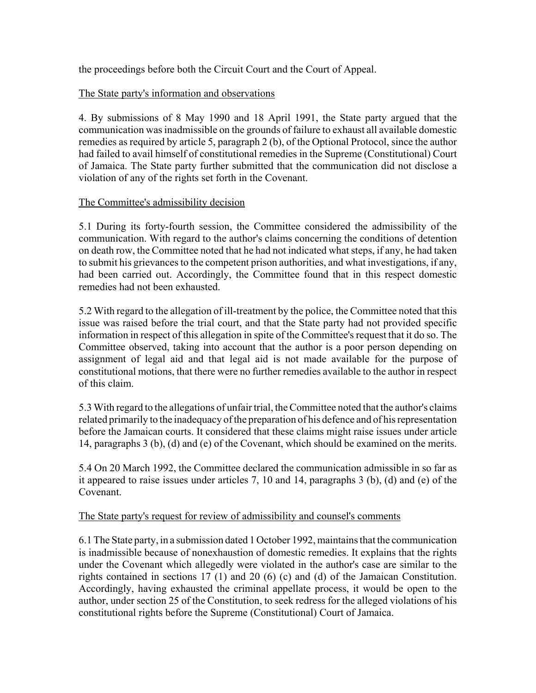the proceedings before both the Circuit Court and the Court of Appeal.

## The State party's information and observations

4. By submissions of 8 May 1990 and 18 April 1991, the State party argued that the communication was inadmissible on the grounds of failure to exhaust all available domestic remedies as required by article 5, paragraph 2 (b), of the Optional Protocol, since the author had failed to avail himself of constitutional remedies in the Supreme (Constitutional) Court of Jamaica. The State party further submitted that the communication did not disclose a violation of any of the rights set forth in the Covenant.

# The Committee's admissibility decision

5.1 During its forty-fourth session, the Committee considered the admissibility of the communication. With regard to the author's claims concerning the conditions of detention on death row, the Committee noted that he had not indicated what steps, if any, he had taken to submit his grievances to the competent prison authorities, and what investigations, if any, had been carried out. Accordingly, the Committee found that in this respect domestic remedies had not been exhausted.

5.2 With regard to the allegation of ill-treatment by the police, the Committee noted that this issue was raised before the trial court, and that the State party had not provided specific information in respect of this allegation in spite of the Committee's request that it do so. The Committee observed, taking into account that the author is a poor person depending on assignment of legal aid and that legal aid is not made available for the purpose of constitutional motions, that there were no further remedies available to the author in respect of this claim.

5.3 With regard to the allegations of unfair trial, the Committee noted that the author's claims related primarily to the inadequacy of the preparation of his defence and of his representation before the Jamaican courts. It considered that these claims might raise issues under article 14, paragraphs 3 (b), (d) and (e) of the Covenant, which should be examined on the merits.

5.4 On 20 March 1992, the Committee declared the communication admissible in so far as it appeared to raise issues under articles 7, 10 and 14, paragraphs 3 (b), (d) and (e) of the Covenant.

## The State party's request for review of admissibility and counsel's comments

6.1 The State party, in a submission dated 1 October 1992, maintains that the communication is inadmissible because of nonexhaustion of domestic remedies. It explains that the rights under the Covenant which allegedly were violated in the author's case are similar to the rights contained in sections 17 (1) and 20 (6) (c) and (d) of the Jamaican Constitution. Accordingly, having exhausted the criminal appellate process, it would be open to the author, under section 25 of the Constitution, to seek redress for the alleged violations of his constitutional rights before the Supreme (Constitutional) Court of Jamaica.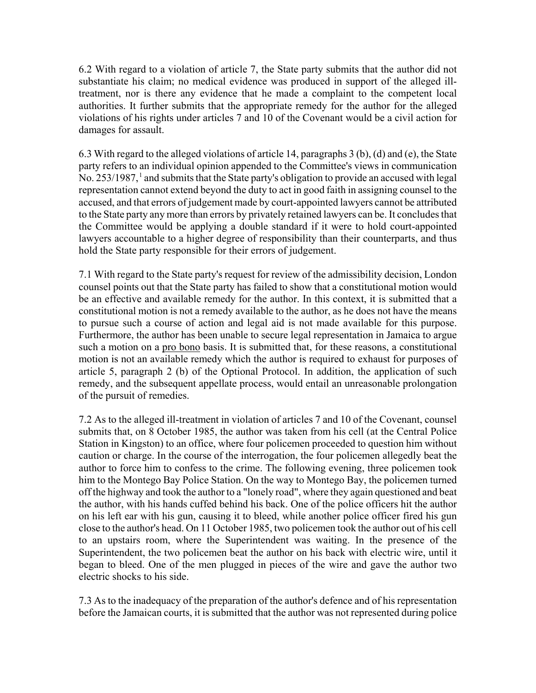6.2 With regard to a violation of article 7, the State party submits that the author did not substantiate his claim; no medical evidence was produced in support of the alleged illtreatment, nor is there any evidence that he made a complaint to the competent local authorities. It further submits that the appropriate remedy for the author for the alleged violations of his rights under articles 7 and 10 of the Covenant would be a civil action for damages for assault.

6.3 With regard to the alleged violations of article 14, paragraphs 3 (b), (d) and (e), the State party refers to an individual opinion appended to the Committee's views in communication No. 253/1987,<sup>1</sup> and submits that the State party's obligation to provide an accused with legal representation cannot extend beyond the duty to act in good faith in assigning counsel to the accused, and that errors of judgement made by court-appointed lawyers cannot be attributed to the State party any more than errors by privately retained lawyers can be. It concludes that the Committee would be applying a double standard if it were to hold court-appointed lawyers accountable to a higher degree of responsibility than their counterparts, and thus hold the State party responsible for their errors of judgement.

7.1 With regard to the State party's request for review of the admissibility decision, London counsel points out that the State party has failed to show that a constitutional motion would be an effective and available remedy for the author. In this context, it is submitted that a constitutional motion is not a remedy available to the author, as he does not have the means to pursue such a course of action and legal aid is not made available for this purpose. Furthermore, the author has been unable to secure legal representation in Jamaica to argue such a motion on a pro bono basis. It is submitted that, for these reasons, a constitutional motion is not an available remedy which the author is required to exhaust for purposes of article 5, paragraph 2 (b) of the Optional Protocol. In addition, the application of such remedy, and the subsequent appellate process, would entail an unreasonable prolongation of the pursuit of remedies.

7.2 As to the alleged ill-treatment in violation of articles 7 and 10 of the Covenant, counsel submits that, on 8 October 1985, the author was taken from his cell (at the Central Police Station in Kingston) to an office, where four policemen proceeded to question him without caution or charge. In the course of the interrogation, the four policemen allegedly beat the author to force him to confess to the crime. The following evening, three policemen took him to the Montego Bay Police Station. On the way to Montego Bay, the policemen turned off the highway and took the author to a "lonely road", where they again questioned and beat the author, with his hands cuffed behind his back. One of the police officers hit the author on his left ear with his gun, causing it to bleed, while another police officer fired his gun close to the author's head. On 11 October 1985, two policemen took the author out of his cell to an upstairs room, where the Superintendent was waiting. In the presence of the Superintendent, the two policemen beat the author on his back with electric wire, until it began to bleed. One of the men plugged in pieces of the wire and gave the author two electric shocks to his side.

7.3 As to the inadequacy of the preparation of the author's defence and of his representation before the Jamaican courts, it is submitted that the author was not represented during police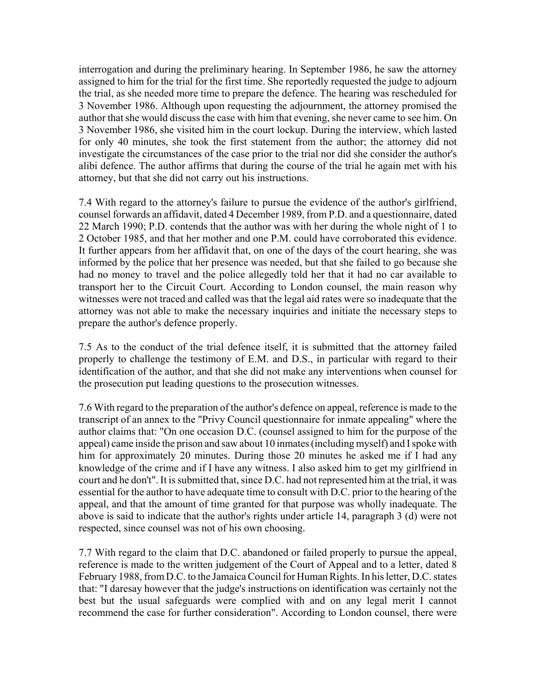interrogation and during the preliminary hearing. In September 1986, he saw the attorney assigned to him for the trial for the first time. She reportedly requested the judge to adjourn the trial, as she needed more time to prepare the defence. The hearing was rescheduled for 3 November 1986. Although upon requesting the adjournment, the attorney promised the author that she would discuss the case with him that evening, she never came to see him. On 3 November 1986, she visited him in the court lockup. During the interview, which lasted for only 40 minutes, she took the first statement from the author; the attorney did not investigate the circumstances of the case prior to the trial nor did she consider the author's alibi defence. The author affirms that during the course of the trial he again met with his attorney, but that she did not carry out his instructions.

7.4 With regard to the attorney's failure to pursue the evidence of the author's girlfriend, counsel forwards an affidavit, dated 4 December 1989, from P.D. and a questionnaire, dated 22 March 1990; P.D. contends that the author was with her during the whole night of 1 to 2 October 1985, and that her mother and one P.M. could have corroborated this evidence. It further appears from her affidavit that, on one of the days of the court hearing, she was informed by the police that her presence was needed, but that she failed to go because she had no money to travel and the police allegedly told her that it had no car available to transport her to the Circuit Court. According to London counsel, the main reason why witnesses were not traced and called was that the legal aid rates were so inadequate that the attorney was not able to make the necessary inquiries and initiate the necessary steps to prepare the author's defence properly.

7.5 As to the conduct of the trial defence itself, it is submitted that the attorney failed properly to challenge the testimony of E.M. and D.S., in particular with regard to their identification of the author, and that she did not make any interventions when counsel for the prosecution put leading questions to the prosecution witnesses.

7.6 With regard to the preparation of the author's defence on appeal, reference is made to the transcript of an annex to the "Privy Council questionnaire for inmate appealing" where the author claims that: "On one occasion D.C. (counsel assigned to him for the purpose of the appeal) came inside the prison and saw about 10 inmates (including myself) and I spoke with him for approximately 20 minutes. During those 20 minutes he asked me if I had any knowledge of the crime and if I have any witness. I also asked him to get my girlfriend in court and he don't". It is submitted that, since D.C. had not represented him at the trial, it was essential for the author to have adequate time to consult with D.C. prior to the hearing of the appeal, and that the amount of time granted for that purpose was wholly inadequate. The above is said to indicate that the author's rights under article 14, paragraph 3 (d) were not respected, since counsel was not of his own choosing.

7.7 With regard to the claim that D.C. abandoned or failed properly to pursue the appeal, reference is made to the written judgement of the Court of Appeal and to a letter, dated 8 February 1988, from D.C. to the Jamaica Council for Human Rights. In his letter, D.C. states that: "I daresay however that the judge's instructions on identification was certainly not the best but the usual safeguards were complied with and on any legal merit I cannot recommend the case for further consideration". According to London counsel, there were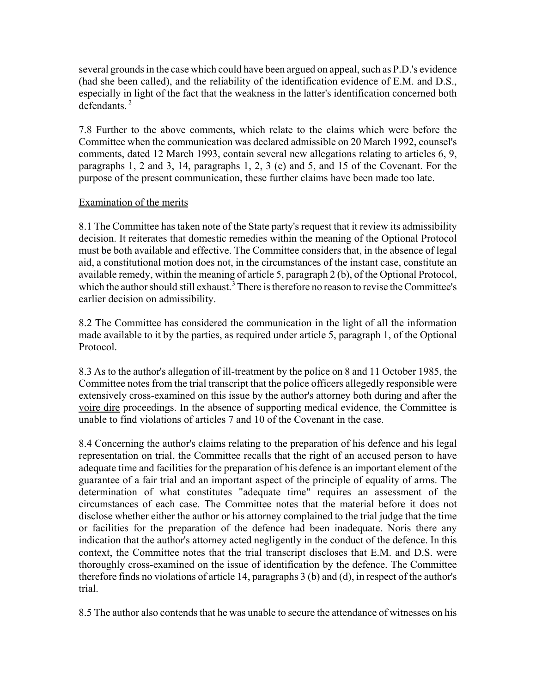several grounds in the case which could have been argued on appeal, such as P.D.'s evidence (had she been called), and the reliability of the identification evidence of E.M. and D.S., especially in light of the fact that the weakness in the latter's identification concerned both defendants. 2

7.8 Further to the above comments, which relate to the claims which were before the Committee when the communication was declared admissible on 20 March 1992, counsel's comments, dated 12 March 1993, contain several new allegations relating to articles 6, 9, paragraphs 1, 2 and 3, 14, paragraphs 1, 2, 3 (c) and 5, and 15 of the Covenant. For the purpose of the present communication, these further claims have been made too late.

### Examination of the merits

8.1 The Committee has taken note of the State party's request that it review its admissibility decision. It reiterates that domestic remedies within the meaning of the Optional Protocol must be both available and effective. The Committee considers that, in the absence of legal aid, a constitutional motion does not, in the circumstances of the instant case, constitute an available remedy, within the meaning of article 5, paragraph 2 (b), of the Optional Protocol, which the author should still exhaust.<sup>3</sup> There is therefore no reason to revise the Committee's earlier decision on admissibility.

8.2 The Committee has considered the communication in the light of all the information made available to it by the parties, as required under article 5, paragraph 1, of the Optional Protocol.

8.3 As to the author's allegation of ill-treatment by the police on 8 and 11 October 1985, the Committee notes from the trial transcript that the police officers allegedly responsible were extensively cross-examined on this issue by the author's attorney both during and after the voire dire proceedings. In the absence of supporting medical evidence, the Committee is unable to find violations of articles 7 and 10 of the Covenant in the case.

8.4 Concerning the author's claims relating to the preparation of his defence and his legal representation on trial, the Committee recalls that the right of an accused person to have adequate time and facilities for the preparation of his defence is an important element of the guarantee of a fair trial and an important aspect of the principle of equality of arms. The determination of what constitutes "adequate time" requires an assessment of the circumstances of each case. The Committee notes that the material before it does not disclose whether either the author or his attorney complained to the trial judge that the time or facilities for the preparation of the defence had been inadequate. Noris there any indication that the author's attorney acted negligently in the conduct of the defence. In this context, the Committee notes that the trial transcript discloses that E.M. and D.S. were thoroughly cross-examined on the issue of identification by the defence. The Committee therefore finds no violations of article 14, paragraphs 3 (b) and (d), in respect of the author's trial.

8.5 The author also contends that he was unable to secure the attendance of witnesses on his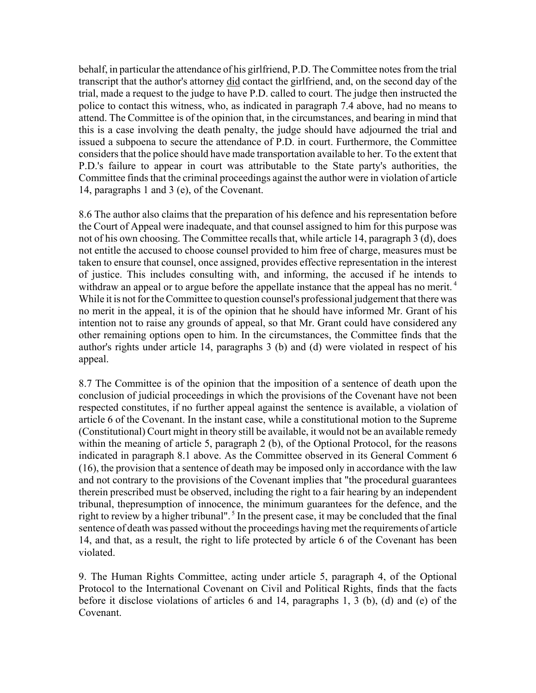behalf, in particular the attendance of his girlfriend, P.D. The Committee notes from the trial transcript that the author's attorney did contact the girlfriend, and, on the second day of the trial, made a request to the judge to have P.D. called to court. The judge then instructed the police to contact this witness, who, as indicated in paragraph 7.4 above, had no means to attend. The Committee is of the opinion that, in the circumstances, and bearing in mind that this is a case involving the death penalty, the judge should have adjourned the trial and issued a subpoena to secure the attendance of P.D. in court. Furthermore, the Committee considers that the police should have made transportation available to her. To the extent that P.D.'s failure to appear in court was attributable to the State party's authorities, the Committee finds that the criminal proceedings against the author were in violation of article 14, paragraphs 1 and 3 (e), of the Covenant.

8.6 The author also claims that the preparation of his defence and his representation before the Court of Appeal were inadequate, and that counsel assigned to him for this purpose was not of his own choosing. The Committee recalls that, while article 14, paragraph 3 (d), does not entitle the accused to choose counsel provided to him free of charge, measures must be taken to ensure that counsel, once assigned, provides effective representation in the interest of justice. This includes consulting with, and informing, the accused if he intends to withdraw an appeal or to argue before the appellate instance that the appeal has no merit.<sup>4</sup> While it is not for the Committee to question counsel's professional judgement that there was no merit in the appeal, it is of the opinion that he should have informed Mr. Grant of his intention not to raise any grounds of appeal, so that Mr. Grant could have considered any other remaining options open to him. In the circumstances, the Committee finds that the author's rights under article 14, paragraphs 3 (b) and (d) were violated in respect of his appeal.

8.7 The Committee is of the opinion that the imposition of a sentence of death upon the conclusion of judicial proceedings in which the provisions of the Covenant have not been respected constitutes, if no further appeal against the sentence is available, a violation of article 6 of the Covenant. In the instant case, while a constitutional motion to the Supreme (Constitutional) Court might in theory still be available, it would not be an available remedy within the meaning of article 5, paragraph 2 (b), of the Optional Protocol, for the reasons indicated in paragraph 8.1 above. As the Committee observed in its General Comment 6 (16), the provision that a sentence of death may be imposed only in accordance with the law and not contrary to the provisions of the Covenant implies that "the procedural guarantees therein prescribed must be observed, including the right to a fair hearing by an independent tribunal, thepresumption of innocence, the minimum guarantees for the defence, and the right to review by a higher tribunal".<sup>5</sup> In the present case, it may be concluded that the final sentence of death was passed without the proceedings having met the requirements of article 14, and that, as a result, the right to life protected by article 6 of the Covenant has been violated.

9. The Human Rights Committee, acting under article 5, paragraph 4, of the Optional Protocol to the International Covenant on Civil and Political Rights, finds that the facts before it disclose violations of articles 6 and 14, paragraphs 1, 3 (b), (d) and (e) of the Covenant.